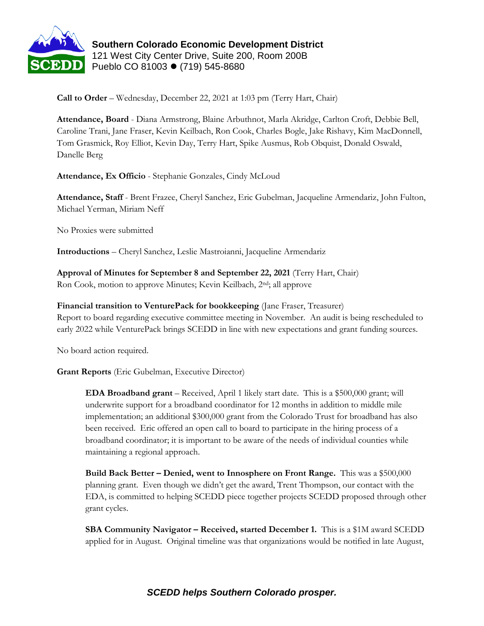

**Southern Colorado Economic Development District** 121 West City Center Drive, Suite 200, Room 200B Pueblo CO 81003 ⚫ (719) 545-8680

**Call to Order** – Wednesday, December 22, 2021 at 1:03 pm (Terry Hart, Chair)

**Attendance, Board** - Diana Armstrong, Blaine Arbuthnot, Marla Akridge, Carlton Croft, Debbie Bell, Caroline Trani, Jane Fraser, Kevin Keilbach, Ron Cook, Charles Bogle, Jake Rishavy, Kim MacDonnell, Tom Grasmick, Roy Elliot, Kevin Day, Terry Hart, Spike Ausmus, Rob Obquist, Donald Oswald, Danelle Berg

**Attendance, Ex Officio** - Stephanie Gonzales, Cindy McLoud

**Attendance, Staff** - Brent Frazee, Cheryl Sanchez, Eric Gubelman, Jacqueline Armendariz, John Fulton, Michael Yerman, Miriam Neff

No Proxies were submitted

**Introductions** – Cheryl Sanchez, Leslie Mastroianni, Jacqueline Armendariz

**Approval of Minutes for September 8 and September 22, 2021** (Terry Hart, Chair) Ron Cook, motion to approve Minutes; Kevin Keilbach, 2nd; all approve

**Financial transition to VenturePack for bookkeeping** (Jane Fraser, Treasurer)

Report to board regarding executive committee meeting in November. An audit is being rescheduled to early 2022 while VenturePack brings SCEDD in line with new expectations and grant funding sources.

No board action required.

**Grant Reports** (Eric Gubelman, Executive Director)

**EDA Broadband grant** – Received, April 1 likely start date. This is a \$500,000 grant; will underwrite support for a broadband coordinator for 12 months in addition to middle mile implementation; an additional \$300,000 grant from the Colorado Trust for broadband has also been received. Eric offered an open call to board to participate in the hiring process of a broadband coordinator; it is important to be aware of the needs of individual counties while maintaining a regional approach.

**Build Back Better – Denied, went to Innosphere on Front Range.** This was a \$500,000 planning grant. Even though we didn't get the award, Trent Thompson, our contact with the EDA, is committed to helping SCEDD piece together projects SCEDD proposed through other grant cycles.

**SBA Community Navigator – Received, started December 1.** This is a \$1M award SCEDD applied for in August. Original timeline was that organizations would be notified in late August,

## *SCEDD helps Southern Colorado prosper.*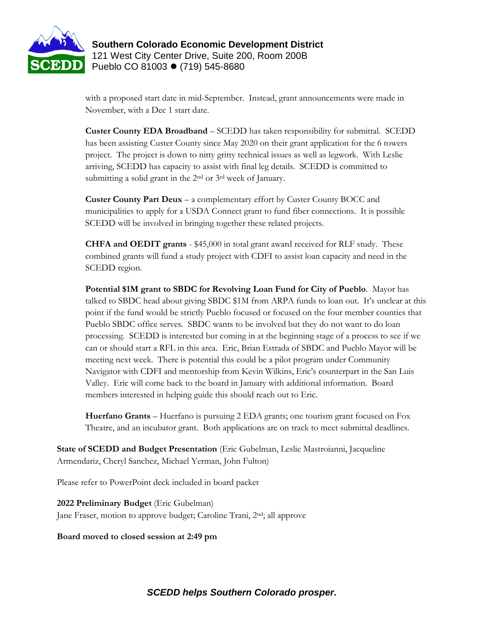

**Southern Colorado Economic Development District** 121 West City Center Drive, Suite 200, Room 200B Pueblo CO 81003 ⚫ (719) 545-8680

with a proposed start date in mid-September. Instead, grant announcements were made in November, with a Dec 1 start date.

**Custer County EDA Broadband** – SCEDD has taken responsibility for submittal. SCEDD has been assisting Custer County since May 2020 on their grant application for the 6 towers project. The project is down to nitty gritty technical issues as well as legwork. With Leslie arriving, SCEDD has capacity to assist with final leg details. SCEDD is committed to submitting a solid grant in the 2<sup>nd</sup> or 3<sup>rd</sup> week of January.

**Custer County Part Deux** – a complementary effort by Custer County BOCC and municipalities to apply for a USDA Connect grant to fund fiber connections. It is possible SCEDD will be involved in bringing together these related projects.

**CHFA and OEDIT grants** - \$45,000 in total grant award received for RLF study. These combined grants will fund a study project with CDFI to assist loan capacity and need in the SCEDD region.

**Potential \$1M grant to SBDC for Revolving Loan Fund for City of Pueblo**. Mayor has talked to SBDC head about giving SBDC \$1M from ARPA funds to loan out. It's unclear at this point if the fund would be strictly Pueblo focused or focused on the four member counties that Pueblo SBDC office serves. SBDC wants to be involved but they do not want to do loan processing. SCEDD is interested but coming in at the beginning stage of a process to see if we can or should start a RFL in this area. Eric, Brian Estrada of SBDC and Pueblo Mayor will be meeting next week. There is potential this could be a pilot program under Community Navigator with CDFI and mentorship from Kevin Wilkins, Eric's counterpart in the San Luis Valley. Eric will come back to the board in January with additional information. Board members interested in helping guide this should reach out to Eric.

**Huerfano Grants** – Huerfano is pursuing 2 EDA grants; one tourism grant focused on Fox Theatre, and an incubator grant. Both applications are on track to meet submittal deadlines.

**State of SCEDD and Budget Presentation** (Eric Gubelman, Leslie Mastroianni, Jacqueline Armendariz, Cheryl Sanchez, Michael Yerman, John Fulton)

Please refer to PowerPoint deck included in board packet

**2022 Preliminary Budget** (Eric Gubelman) Jane Fraser, motion to approve budget; Caroline Trani, 2nd; all approve

**Board moved to closed session at 2:49 pm**